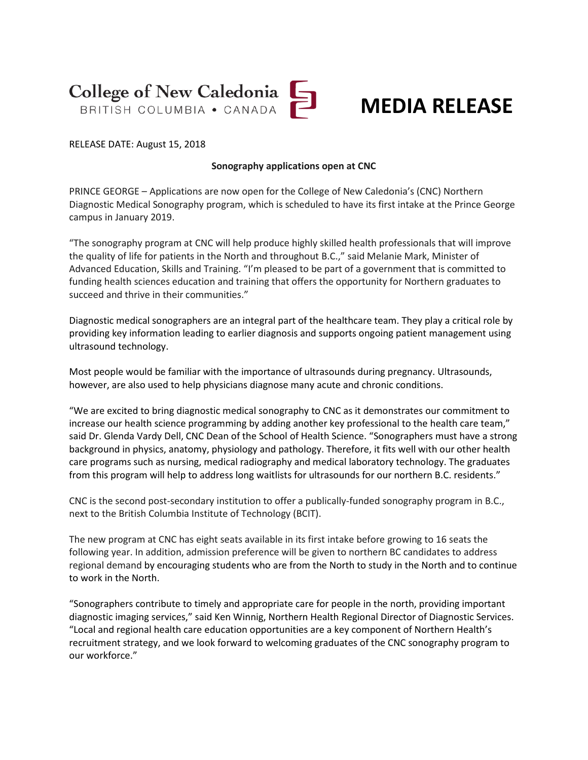College of New Caledonia

## **MEDIA RELEASE**

RELEASE DATE: August 15, 2018

## **Sonography applications open at CNC**

PRINCE GEORGE – Applications are now open for the College of New Caledonia's (CNC) Northern Diagnostic Medical Sonography program, which is scheduled to have its first intake at the Prince George campus in January 2019.

"The sonography program at CNC will help produce highly skilled health professionals that will improve the quality of life for patients in the North and throughout B.C.," said Melanie Mark, Minister of Advanced Education, Skills and Training. "I'm pleased to be part of a government that is committed to funding health sciences education and training that offers the opportunity for Northern graduates to succeed and thrive in their communities."

Diagnostic medical sonographers are an integral part of the healthcare team. They play a critical role by providing key information leading to earlier diagnosis and supports ongoing patient management using ultrasound technology.

Most people would be familiar with the importance of ultrasounds during pregnancy. Ultrasounds, however, are also used to help physicians diagnose many acute and chronic conditions.

"We are excited to bring diagnostic medical sonography to CNC as it demonstrates our commitment to increase our health science programming by adding another key professional to the health care team," said Dr. Glenda Vardy Dell, CNC Dean of the School of Health Science. "Sonographers must have a strong background in physics, anatomy, physiology and pathology. Therefore, it fits well with our other health care programs such as nursing, medical radiography and medical laboratory technology. The graduates from this program will help to address long waitlists for ultrasounds for our northern B.C. residents."

CNC is the second post-secondary institution to offer a publically-funded sonography program in B.C., next to the British Columbia Institute of Technology (BCIT).

The new program at CNC has eight seats available in its first intake before growing to 16 seats the following year. In addition, admission preference will be given to northern BC candidates to address regional demand by encouraging students who are from the North to study in the North and to continue to work in the North.

"Sonographers contribute to timely and appropriate care for people in the north, providing important diagnostic imaging services," said Ken Winnig, Northern Health Regional Director of Diagnostic Services. "Local and regional health care education opportunities are a key component of Northern Health's recruitment strategy, and we look forward to welcoming graduates of the CNC sonography program to our workforce."